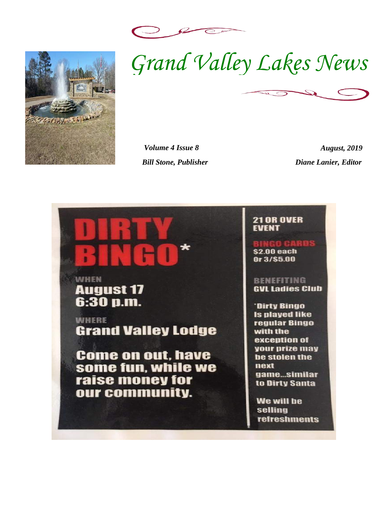



 $\mathcal{Z}$  $\bigcirc$ 

*Volume 4 Issue 8 August, 2019 Bill Stone, Publisher Diane Lanier, Editor* 

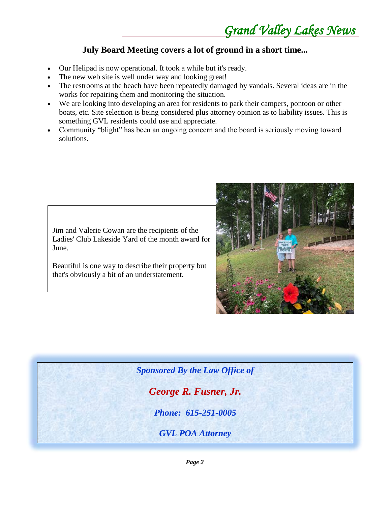#### **July Board Meeting covers a lot of ground in a short time...**

- Our Helipad is now operational. It took a while but it's ready.
- The new web site is well under way and looking great!
- The restrooms at the beach have been repeatedly damaged by vandals. Several ideas are in the works for repairing them and monitoring the situation.
- We are looking into developing an area for residents to park their campers, pontoon or other boats, etc. Site selection is being considered plus attorney opinion as to liability issues. This is something GVL residents could use and appreciate.
- Community "blight" has been an ongoing concern and the board is seriously moving toward solutions.

Jim and Valerie Cowan are the recipients of the Ladies' Club Lakeside Yard of the month award for June.

Beautiful is one way to describe their property but that's obviously a bit of an understatement.



*Sponsored By the Law Office of George R. Fusner, Jr. Phone: 615-251-0005*

*GVL POA Attorney*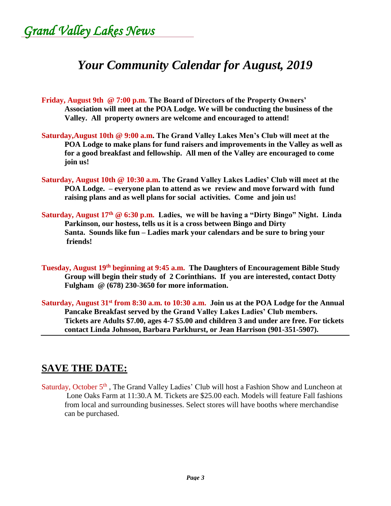*Grand Valley Lakes News* 

### *Your Community Calendar for August, 2019*

**Friday, August 9th @ 7:00 p.m. The Board of Directors of the Property Owners' Association will meet at the POA Lodge. We will be conducting the business of the Valley. All property owners are welcome and encouraged to attend!**

- **Saturday,August 10th @ 9:00 a.m. The Grand Valley Lakes Men's Club will meet at the POA Lodge to make plans for fund raisers and improvements in the Valley as well as for a good breakfast and fellowship. All men of the Valley are encouraged to come join us!**
- **Saturday, August 10th @ 10:30 a.m. The Grand Valley Lakes Ladies' Club will meet at the POA Lodge. – everyone plan to attend as we review and move forward with fund raising plans and as well plans for social activities. Come and join us!**
- **Saturday, August 17th @ 6:30 p.m. Ladies, we will be having a "Dirty Bingo" Night. Linda Parkinson, our hostess, tells us it is a cross between Bingo and Dirty Santa. Sounds like fun – Ladies mark your calendars and be sure to bring your friends!**
- **Tuesday, August 19th beginning at 9:45 a.m. The Daughters of Encouragement Bible Study Group will begin their study of 2 Corinthians. If you are interested, contact Dotty Fulgham @ (678) 230-3650 for more information.**
- **Saturday, August 31st from 8:30 a.m. to 10:30 a.m. Join us at the POA Lodge for the Annual Pancake Breakfast served by the Grand Valley Lakes Ladies' Club members. Tickets are Adults \$7.00, ages 4-7 \$5.00 and children 3 and under are free. For tickets contact Linda Johnson, Barbara Parkhurst, or Jean Harrison (901-351-5907).**

### **SAVE THE DATE:**

Saturday, October 5<sup>th</sup>, The Grand Valley Ladies' Club will host a Fashion Show and Luncheon at Lone Oaks Farm at 11:30.A M. Tickets are \$25.00 each. Models will feature Fall fashions from local and surrounding businesses. Select stores will have booths where merchandise can be purchased.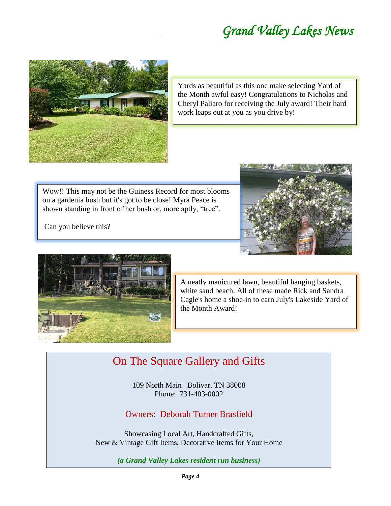

Yards as beautiful as this one make selecting Yard of the Month awful easy! Congratulations to Nicholas and Cheryl Paliaro for receiving the July award! Their hard work leaps out at you as you drive by!

Wow!! This may not be the Guiness Record for most blooms on a gardenia bush but it's got to be close! Myra Peace is shown standing in front of her bush or, more aptly, "tree".

Can you believe this?





A neatly manicured lawn, beautiful hanging baskets, white sand beach. All of these made Rick and Sandra Cagle's home a shoe-in to earn July's Lakeside Yard of the Month Award!

### On The Square Gallery and Gifts

109 North Main Bolivar, TN 38008 Phone: 731-403-0002

Owners: Deborah Turner Brasfield

Showcasing Local Art, Handcrafted Gifts, New & Vintage Gift Items, Decorative Items for Your Home

*(a Grand Valley Lakes resident run business)*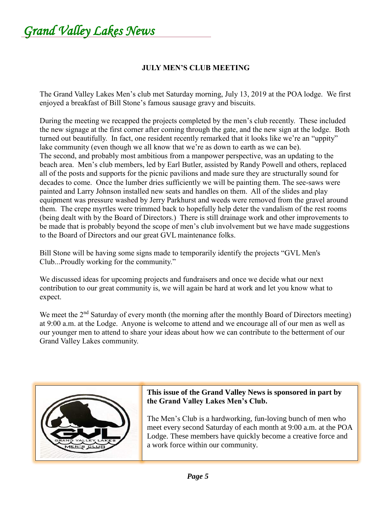*Grand Valley Lakes News* 

#### **JULY MEN'S CLUB MEETING**

The Grand Valley Lakes Men's club met Saturday morning, July 13, 2019 at the POA lodge. We first enjoyed a breakfast of Bill Stone's famous sausage gravy and biscuits.

During the meeting we recapped the projects completed by the men's club recently. These included the new signage at the first corner after coming through the gate, and the new sign at the lodge. Both turned out beautifully. In fact, one resident recently remarked that it looks like we're an "uppity" lake community (even though we all know that we're as down to earth as we can be). The second, and probably most ambitious from a manpower perspective, was an updating to the beach area. Men's club members, led by Earl Butler, assisted by Randy Powell and others, replaced all of the posts and supports for the picnic pavilions and made sure they are structurally sound for decades to come. Once the lumber dries sufficiently we will be painting them. The see-saws were painted and Larry Johnson installed new seats and handles on them. All of the slides and play equipment was pressure washed by Jerry Parkhurst and weeds were removed from the gravel around them. The crepe myrtles were trimmed back to hopefully help deter the vandalism of the rest rooms (being dealt with by the Board of Directors.) There is still drainage work and other improvements to be made that is probably beyond the scope of men's club involvement but we have made suggestions to the Board of Directors and our great GVL maintenance folks.

Bill Stone will be having some signs made to temporarily identify the projects "GVL Men's Club...Proudly working for the community."

We discussed ideas for upcoming projects and fundraisers and once we decide what our next contribution to our great community is, we will again be hard at work and let you know what to expect.

We meet the 2<sup>nd</sup> Saturday of every month (the morning after the monthly Board of Directors meeting) at 9:00 a.m. at the Lodge. Anyone is welcome to attend and we encourage all of our men as well as our younger men to attend to share your ideas about how we can contribute to the betterment of our Grand Valley Lakes community.



#### **This issue of the Grand Valley News is sponsored in part by the Grand Valley Lakes Men's Club.**

The Men's Club is a hardworking, fun-loving bunch of men who meet every second Saturday of each month at 9:00 a.m. at the POA Lodge. These members have quickly become a creative force and a work force within our community.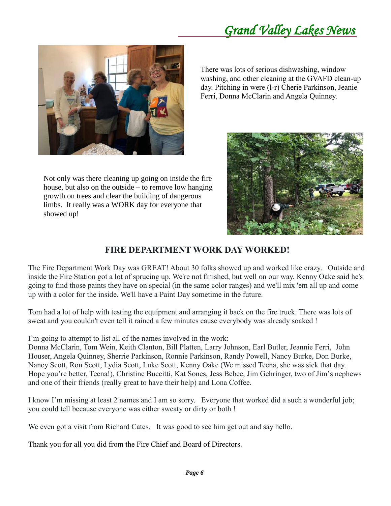

Not only was there cleaning up going on inside the fire house, but also on the outside – to remove low hanging growth on trees and clear the building of dangerous limbs. It really was a WORK day for everyone that showed up!

There was lots of serious dishwashing, window washing, and other cleaning at the GVAFD clean-up day. Pitching in were (l-r) Cherie Parkinson, Jeanie Ferri, Donna McClarin and Angela Quinney.



#### **FIRE DEPARTMENT WORK DAY WORKED!**

The Fire Department Work Day was GREAT! About 30 folks showed up and worked like crazy. Outside and inside the Fire Station got a lot of sprucing up. We're not finished, but well on our way. Kenny Oake said he's going to find those paints they have on special (in the same color ranges) and we'll mix 'em all up and come up with a color for the inside. We'll have a Paint Day sometime in the future.

Tom had a lot of help with testing the equipment and arranging it back on the fire truck. There was lots of sweat and you couldn't even tell it rained a few minutes cause everybody was already soaked !

I'm going to attempt to list all of the names involved in the work:

Donna McClarin, Tom Wein, Keith Clanton, Bill Platten, Larry Johnson, Earl Butler, Jeannie Ferri, John Houser, Angela Quinney, Sherrie Parkinson, Ronnie Parkinson, Randy Powell, Nancy Burke, Don Burke, Nancy Scott, Ron Scott, Lydia Scott, Luke Scott, Kenny Oake (We missed Teena, she was sick that day. Hope you're better, Teena!), Christine Buccitti, Kat Sones, Jess Bebee, Jim Gehringer, two of Jim's nephews and one of their friends (really great to have their help) and Lona Coffee.

I know I'm missing at least 2 names and I am so sorry. Everyone that worked did a such a wonderful job; you could tell because everyone was either sweaty or dirty or both !

We even got a visit from Richard Cates. It was good to see him get out and say hello.

Thank you for all you did from the Fire Chief and Board of Directors.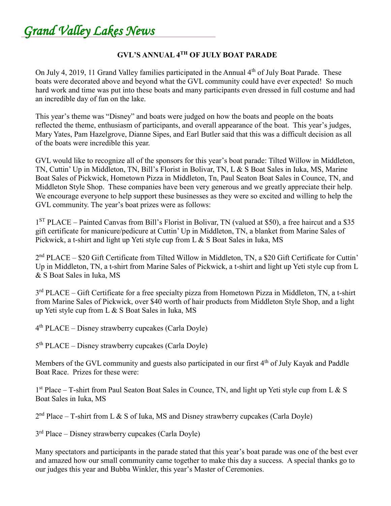*Grand Valley Lakes News* 

#### **GVL'S ANNUAL 4TH OF JULY BOAT PARADE**

On July 4, 2019, 11 Grand Valley families participated in the Annual 4<sup>th</sup> of July Boat Parade. These boats were decorated above and beyond what the GVL community could have ever expected! So much hard work and time was put into these boats and many participants even dressed in full costume and had an incredible day of fun on the lake.

This year's theme was "Disney" and boats were judged on how the boats and people on the boats reflected the theme, enthusiasm of participants, and overall appearance of the boat. This year's judges, Mary Yates, Pam Hazelgrove, Dianne Sipes, and Earl Butler said that this was a difficult decision as all of the boats were incredible this year.

GVL would like to recognize all of the sponsors for this year's boat parade: Tilted Willow in Middleton, TN, Cuttin' Up in Middleton, TN, Bill's Florist in Bolivar, TN, L & S Boat Sales in Iuka, MS, Marine Boat Sales of Pickwick, Hometown Pizza in Middleton, Tn, Paul Seaton Boat Sales in Counce, TN, and Middleton Style Shop. These companies have been very generous and we greatly appreciate their help. We encourage everyone to help support these businesses as they were so excited and willing to help the GVL community. The year's boat prizes were as follows:

1<sup>ST</sup> PLACE – Painted Canvas from Bill's Florist in Bolivar, TN (valued at \$50), a free haircut and a \$35 gift certificate for manicure/pedicure at Cuttin' Up in Middleton, TN, a blanket from Marine Sales of Pickwick, a t-shirt and light up Yeti style cup from L & S Boat Sales in Iuka, MS

2<sup>nd</sup> PLACE – \$20 Gift Certificate from Tilted Willow in Middleton, TN, a \$20 Gift Certificate for Cuttin' Up in Middleton, TN, a t-shirt from Marine Sales of Pickwick, a t-shirt and light up Yeti style cup from L & S Boat Sales in Iuka, MS

3<sup>rd</sup> PLACE – Gift Certificate for a free specialty pizza from Hometown Pizza in Middleton, TN, a t-shirt from Marine Sales of Pickwick, over \$40 worth of hair products from Middleton Style Shop, and a light up Yeti style cup from L & S Boat Sales in Iuka, MS

4 th PLACE – Disney strawberry cupcakes (Carla Doyle)

5<sup>th</sup> PLACE – Disney strawberry cupcakes (Carla Doyle)

Members of the GVL community and guests also participated in our first 4<sup>th</sup> of July Kayak and Paddle Boat Race. Prizes for these were:

1<sup>st</sup> Place – T-shirt from Paul Seaton Boat Sales in Counce, TN, and light up Yeti style cup from L & S Boat Sales in Iuka, MS

 $2<sup>nd</sup> Place - T-shift from L & S of Iuka, MS and Disney starwberry cupcakes (Carla Doyle)$ 

3<sup>rd</sup> Place – Disney strawberry cupcakes (Carla Doyle)

Many spectators and participants in the parade stated that this year's boat parade was one of the best ever and amazed how our small community came together to make this day a success. A special thanks go to our judges this year and Bubba Winkler, this year's Master of Ceremonies.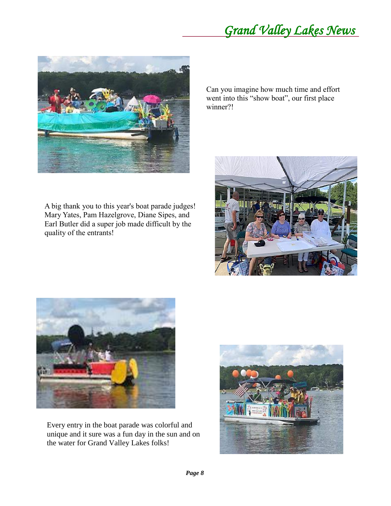*Grand Valley Lakes News* 



A big thank you to this year's boat parade judges! Mary Yates, Pam Hazelgrove, Diane Sipes, and Earl Butler did a super job made difficult by the quality of the entrants!

Can you imagine how much time and effort went into this "show boat", our first place winner?!





Every entry in the boat parade was colorful and unique and it sure was a fun day in the sun and on the water for Grand Valley Lakes folks!

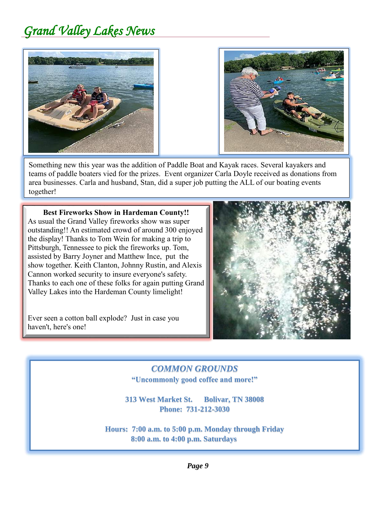



Something new this year was the addition of Paddle Boat and Kayak races. Several kayakers and teams of paddle boaters vied for the prizes. Event organizer Carla Doyle received as donations from area businesses. Carla and husband, Stan, did a super job putting the ALL of our boating events together!

**Best Fireworks Show in Hardeman County!!** As usual the Grand Valley fireworks show was super outstanding!! An estimated crowd of around 300 enjoyed the display! Thanks to Tom Wein for making a trip to Pittsburgh, Tennessee to pick the fireworks up. Tom, assisted by Barry Joyner and Matthew Ince, put the show together. Keith Clanton, Johnny Rustin, and Alexis Cannon worked security to insure everyone's safety. Thanks to each one of these folks for again putting Grand Valley Lakes into the Hardeman County limelight!

Ever seen a cotton ball explode? Just in case you haven't, here's one!



#### *COMMON GROUNDS* **"Uncommonly good coffee and more!"**

**313 West Market St. Bolivar, TN 38008 Phone: 731-212-3030**

**Hours: 7:00 a.m. to 5:00 p.m. Monday through Friday 8:00 a.m. to 4:00 p.m. Saturdays**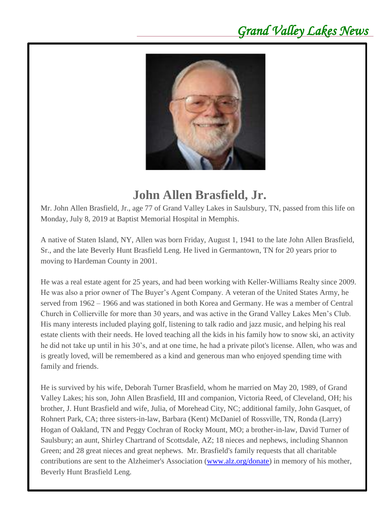

## **John Allen Brasfield, Jr.**

Mr. John Allen Brasfield, Jr., age 77 of Grand Valley Lakes in Saulsbury, TN, passed from this life on Monday, July 8, 2019 at Baptist Memorial Hospital in Memphis.

A native of Staten Island, NY, Allen was born Friday, August 1, 1941 to the late John Allen Brasfield, Sr., and the late Beverly Hunt Brasfield Leng. He lived in Germantown, TN for 20 years prior to moving to Hardeman County in 2001.

He was a real estate agent for 25 years, and had been working with Keller-Williams Realty since 2009. He was also a prior owner of The Buyer's Agent Company. A veteran of the United States Army, he served from 1962 – 1966 and was stationed in both Korea and Germany. He was a member of Central Church in Collierville for more than 30 years, and was active in the Grand Valley Lakes Men's Club. His many interests included playing golf, listening to talk radio and jazz music, and helping his real estate clients with their needs. He loved teaching all the kids in his family how to snow ski, an activity he did not take up until in his 30's, and at one time, he had a private pilot's license. Allen, who was and is greatly loved, will be remembered as a kind and generous man who enjoyed spending time with family and friends.

He is survived by his wife, Deborah Turner Brasfield, whom he married on May 20, 1989, of Grand Valley Lakes; his son, John Allen Brasfield, III and companion, Victoria Reed, of Cleveland, OH; his brother, J. Hunt Brasfield and wife, Julia, of Morehead City, NC; additional family, John Gasquet, of Rohnert Park, CA; three sisters-in-law, Barbara (Kent) McDaniel of Rossville, TN, Ronda (Larry) Hogan of Oakland, TN and Peggy Cochran of Rocky Mount, MO; a brother-in-law, David Turner of Saulsbury; an aunt, Shirley Chartrand of Scottsdale, AZ; 18 nieces and nephews, including Shannon Green; and 28 great nieces and great nephews. Mr. Brasfield's family requests that all charitable contributions are sent to the Alzheimer's Association [\(www.alz.org/donate\)](http://www.alz.org/donate) in memory of his mother, Beverly Hunt Brasfield Leng.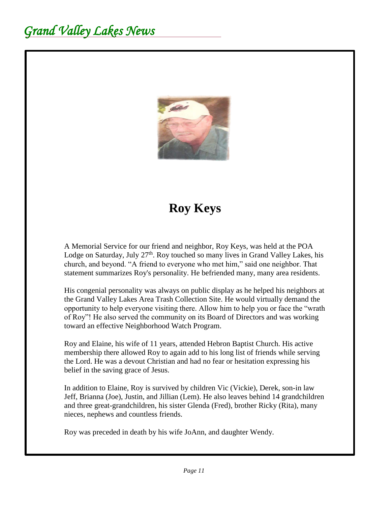

# **Roy Keys**

A Memorial Service for our friend and neighbor, Roy Keys, was held at the POA Lodge on Saturday, July 27<sup>th</sup>. Roy touched so many lives in Grand Valley Lakes, his church, and beyond. "A friend to everyone who met him," said one neighbor. That statement summarizes Roy's personality. He befriended many, many area residents.

His congenial personality was always on public display as he helped his neighbors at the Grand Valley Lakes Area Trash Collection Site. He would virtually demand the opportunity to help everyone visiting there. Allow him to help you or face the "wrath of Roy"! He also served the community on its Board of Directors and was working toward an effective Neighborhood Watch Program.

Roy and Elaine, his wife of 11 years, attended Hebron Baptist Church. His active membership there allowed Roy to again add to his long list of friends while serving the Lord. He was a devout Christian and had no fear or hesitation expressing his belief in the saving grace of Jesus.

In addition to Elaine, Roy is survived by children Vic (Vickie), Derek, son-in law Jeff, Brianna (Joe), Justin, and Jillian (Lem). He also leaves behind 14 grandchildren and three great-grandchildren, his sister Glenda (Fred), brother Ricky (Rita), many nieces, nephews and countless friends.

Roy was preceded in death by his wife JoAnn, and daughter Wendy.